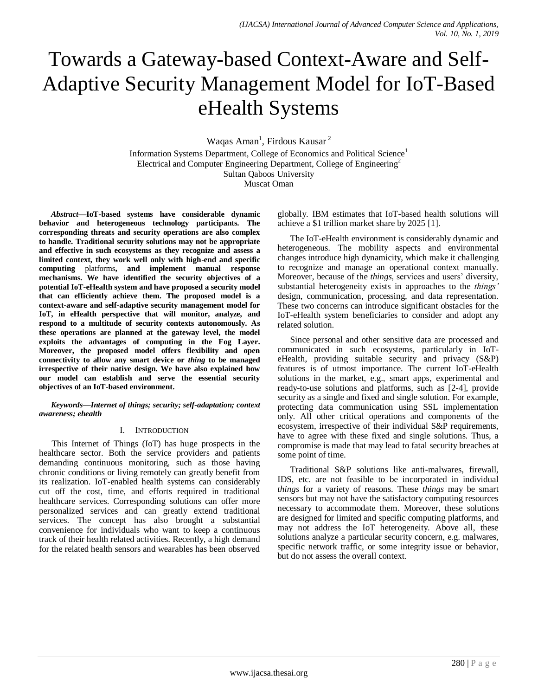# Towards a Gateway-based Context-Aware and Self-Adaptive Security Management Model for IoT-Based eHealth Systems

Waqas Aman<sup>1</sup>, Firdous Kausar<sup>2</sup>

Information Systems Department, College of Economics and Political Science<sup>1</sup> Electrical and Computer Engineering Department, College of Engineering<sup>2</sup> Sultan Qaboos University Muscat Oman

*Abstract***—IoT-based systems have considerable dynamic behavior and heterogeneous technology participants. The corresponding threats and security operations are also complex to handle. Traditional security solutions may not be appropriate and effective in such ecosystems as they recognize and assess a limited context, they work well only with high-end and specific computing** platforms**, and implement manual response mechanisms. We have identified the security objectives of a potential IoT-eHealth system and have proposed a security model that can efficiently achieve them. The proposed model is a context-aware and self-adaptive security management model for IoT, in eHealth perspective that will monitor, analyze, and respond to a multitude of security contexts autonomously. As these operations are planned at the gateway level, the model exploits the advantages of computing in the Fog Layer. Moreover, the proposed model offers flexibility and open connectivity to allow any smart device or** *thing* **to be managed irrespective of their native design. We have also explained how our model can establish and serve the essential security objectives of an IoT-based environment.**

#### *Keywords—Internet of things; security; self-adaptation; context awareness; ehealth*

#### I. INTRODUCTION

This Internet of Things (IoT) has huge prospects in the healthcare sector. Both the service providers and patients demanding continuous monitoring, such as those having chronic conditions or living remotely can greatly benefit from its realization. IoT-enabled health systems can considerably cut off the cost, time, and efforts required in traditional healthcare services. Corresponding solutions can offer more personalized services and can greatly extend traditional services. The concept has also brought a substantial convenience for individuals who want to keep a continuous track of their health related activities. Recently, a high demand for the related health sensors and wearables has been observed globally. IBM estimates that IoT-based health solutions will achieve a \$1 trillion market share by 2025 [1].

The IoT-eHealth environment is considerably dynamic and heterogeneous. The mobility aspects and environmental changes introduce high dynamicity, which make it challenging to recognize and manage an operational context manually. Moreover, because of the *things*, services and users' diversity, substantial heterogeneity exists in approaches to the *things'* design, communication, processing, and data representation. These two concerns can introduce significant obstacles for the IoT-eHealth system beneficiaries to consider and adopt any related solution.

Since personal and other sensitive data are processed and communicated in such ecosystems, particularly in IoTeHealth, providing suitable security and privacy (S&P) features is of utmost importance. The current IoT-eHealth solutions in the market, e.g., smart apps, experimental and ready-to-use solutions and platforms, such as [2-4], provide security as a single and fixed and single solution. For example, protecting data communication using SSL implementation only. All other critical operations and components of the ecosystem, irrespective of their individual S&P requirements, have to agree with these fixed and single solutions. Thus, a compromise is made that may lead to fatal security breaches at some point of time.

Traditional S&P solutions like anti-malwares, firewall, IDS, etc. are not feasible to be incorporated in individual *things* for a variety of reasons. These *things* may be smart sensors but may not have the satisfactory computing resources necessary to accommodate them. Moreover, these solutions are designed for limited and specific computing platforms, and may not address the IoT heterogeneity. Above all, these solutions analyze a particular security concern, e.g. malwares, specific network traffic, or some integrity issue or behavior, but do not assess the overall context.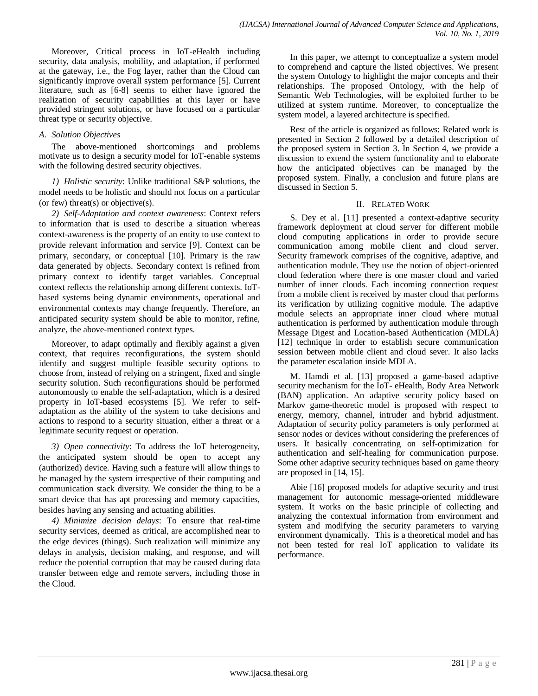Moreover, Critical process in IoT-eHealth including security, data analysis, mobility, and adaptation, if performed at the gateway, i.e., the Fog layer, rather than the Cloud can significantly improve overall system performance [5]. Current literature, such as [6-8] seems to either have ignored the realization of security capabilities at this layer or have provided stringent solutions, or have focused on a particular threat type or security objective.

## *A. Solution Objectives*

The above-mentioned shortcomings and problems motivate us to design a security model for IoT-enable systems with the following desired security objectives.

*1) Holistic security*: Unlike traditional S&P solutions, the model needs to be holistic and should not focus on a particular (or few) threat(s) or objective(s).

*2) Self-Adaptation and context awareness*: Context refers to information that is used to describe a situation whereas context-awareness is the property of an entity to use context to provide relevant information and service [9]. Context can be primary, secondary, or conceptual [10]. Primary is the raw data generated by objects. Secondary context is refined from primary context to identify target variables. Conceptual context reflects the relationship among different contexts. IoTbased systems being dynamic environments, operational and environmental contexts may change frequently. Therefore, an anticipated security system should be able to monitor, refine, analyze, the above-mentioned context types.

Moreover, to adapt optimally and flexibly against a given context, that requires reconfigurations, the system should identify and suggest multiple feasible security options to choose from, instead of relying on a stringent, fixed and single security solution. Such reconfigurations should be performed autonomously to enable the self-adaptation, which is a desired property in IoT-based ecosystems [5]. We refer to selfadaptation as the ability of the system to take decisions and actions to respond to a security situation, either a threat or a legitimate security request or operation.

*3) Open connectivity*: To address the IoT heterogeneity, the anticipated system should be open to accept any (authorized) device. Having such a feature will allow things to be managed by the system irrespective of their computing and communication stack diversity. We consider the thing to be a smart device that has apt processing and memory capacities, besides having any sensing and actuating abilities.

*4) Minimize decision delays*: To ensure that real-time security services, deemed as critical, are accomplished near to the edge devices (things). Such realization will minimize any delays in analysis, decision making, and response, and will reduce the potential corruption that may be caused during data transfer between edge and remote servers, including those in the Cloud.

In this paper, we attempt to conceptualize a system model to comprehend and capture the listed objectives. We present the system Ontology to highlight the major concepts and their relationships. The proposed Ontology, with the help of Semantic Web Technologies, will be exploited further to be utilized at system runtime. Moreover, to conceptualize the system model, a layered architecture is specified.

Rest of the article is organized as follows: Related work is presented in Section 2 followed by a detailed description of the proposed system in Section 3. In Section 4, we provide a discussion to extend the system functionality and to elaborate how the anticipated objectives can be managed by the proposed system. Finally, a conclusion and future plans are discussed in Section 5.

## II. RELATED WORK

S. Dey et al. [11] presented a context-adaptive security framework deployment at cloud server for different mobile cloud computing applications in order to provide secure communication among mobile client and cloud server. Security framework comprises of the cognitive, adaptive, and authentication module. They use the notion of object-oriented cloud federation where there is one master cloud and varied number of inner clouds. Each incoming connection request from a mobile client is received by master cloud that performs its verification by utilizing cognitive module. The adaptive module selects an appropriate inner cloud where mutual authentication is performed by authentication module through Message Digest and Location-based Authentication (MDLA) [12] technique in order to establish secure communication session between mobile client and cloud sever. It also lacks the parameter escalation inside MDLA.

M. Hamdi et al. [13] proposed a game-based adaptive security mechanism for the IoT- eHealth, Body Area Network (BAN) application. An adaptive security policy based on Markov game-theoretic model is proposed with respect to energy, memory, channel, intruder and hybrid adjustment. Adaptation of security policy parameters is only performed at sensor nodes or devices without considering the preferences of users. It basically concentrating on self-optimization for authentication and self-healing for communication purpose. Some other adaptive security techniques based on game theory are proposed in [14, 15].

Abie [16] proposed models for adaptive security and trust management for autonomic message-oriented middleware system. It works on the basic principle of collecting and analyzing the contextual information from environment and system and modifying the security parameters to varying environment dynamically. This is a theoretical model and has not been tested for real IoT application to validate its performance.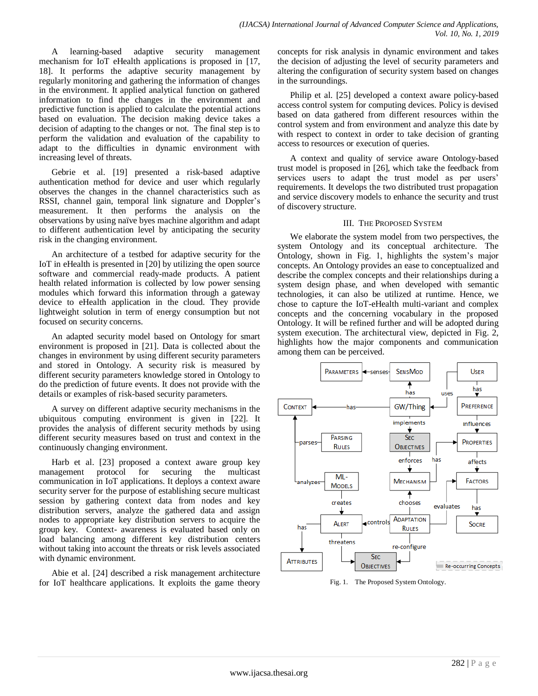A learning-based adaptive security management mechanism for IoT eHealth applications is proposed in [17, 18]. It performs the adaptive security management by regularly monitoring and gathering the information of changes in the environment. It applied analytical function on gathered information to find the changes in the environment and predictive function is applied to calculate the potential actions based on evaluation. The decision making device takes a decision of adapting to the changes or not. The final step is to perform the validation and evaluation of the capability to adapt to the difficulties in dynamic environment with increasing level of threats.

Gebrie et al. [19] presented a risk-based adaptive authentication method for device and user which regularly observes the changes in the channel characteristics such as RSSI, channel gain, temporal link signature and Doppler's measurement. It then performs the analysis on the observations by using naïve byes machine algorithm and adapt to different authentication level by anticipating the security risk in the changing environment.

An architecture of a testbed for adaptive security for the IoT in eHealth is presented in [20] by utilizing the open source software and commercial ready-made products. A patient health related information is collected by low power sensing modules which forward this information through a gateway device to eHealth application in the cloud. They provide lightweight solution in term of energy consumption but not focused on security concerns.

An adapted security model based on Ontology for smart environment is proposed in [21]. Data is collected about the changes in environment by using different security parameters and stored in Ontology. A security risk is measured by different security parameters knowledge stored in Ontology to do the prediction of future events. It does not provide with the details or examples of risk-based security parameters.

A survey on different adaptive security mechanisms in the ubiquitous computing environment is given in [22]. It provides the analysis of different security methods by using different security measures based on trust and context in the continuously changing environment.

Harb et al. [23] proposed a context aware group key management protocol for securing the multicast communication in IoT applications. It deploys a context aware security server for the purpose of establishing secure multicast session by gathering context data from nodes and key distribution servers, analyze the gathered data and assign nodes to appropriate key distribution servers to acquire the group key. Context- awareness is evaluated based only on load balancing among different key distribution centers without taking into account the threats or risk levels associated with dynamic environment.

Abie et al. [24] described a risk management architecture for IoT healthcare applications. It exploits the game theory

concepts for risk analysis in dynamic environment and takes the decision of adjusting the level of security parameters and altering the configuration of security system based on changes in the surroundings.

Philip et al. [25] developed a context aware policy-based access control system for computing devices. Policy is devised based on data gathered from different resources within the control system and from environment and analyze this date by with respect to context in order to take decision of granting access to resources or execution of queries.

A context and quality of service aware Ontology-based trust model is proposed in [26], which take the feedback from services users to adapt the trust model as per users' requirements. It develops the two distributed trust propagation and service discovery models to enhance the security and trust of discovery structure.

#### III. THE PROPOSED SYSTEM

We elaborate the system model from two perspectives, the system Ontology and its conceptual architecture. The Ontology, shown in Fig. 1, highlights the system's major concepts. An Ontology provides an ease to conceptualized and describe the complex concepts and their relationships during a system design phase, and when developed with semantic technologies, it can also be utilized at runtime. Hence, we chose to capture the IoT-eHealth multi-variant and complex concepts and the concerning vocabulary in the proposed Ontology. It will be refined further and will be adopted during system execution. The architectural view, depicted in Fig. 2, highlights how the major components and communication among them can be perceived.



Fig. 1. The Proposed System Ontology.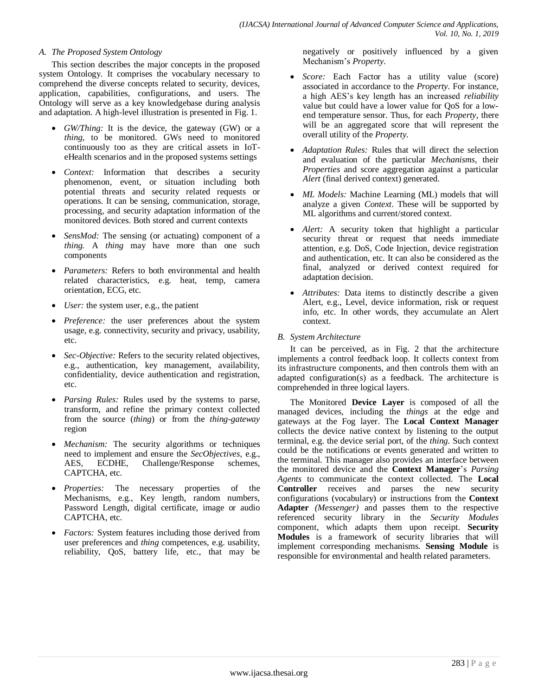## *A. The Proposed System Ontology*

This section describes the major concepts in the proposed system Ontology. It comprises the vocabulary necessary to comprehend the diverse concepts related to security, devices, application, capabilities, configurations, and users. The Ontology will serve as a key knowledgebase during analysis and adaptation. A high-level illustration is presented in Fig. 1.

- *GW/Thing:* It is the device, the gateway (GW) or a *thing*, to be monitored. GWs need to monitored continuously too as they are critical assets in IoTeHealth scenarios and in the proposed systems settings
- *Context:* Information that describes a security phenomenon, event, or situation including both potential threats and security related requests or operations. It can be sensing, communication, storage, processing, and security adaptation information of the monitored devices. Both stored and current contexts
- *SensMod:* The sensing (or actuating) component of a *thing.* A *thing* may have more than one such components
- *Parameters:* Refers to both environmental and health related characteristics, e.g. heat, temp, camera orientation, ECG, etc.
- *User:* the system user, e.g., the patient
- *Preference:* the user preferences about the system usage, e.g. connectivity, security and privacy, usability, etc.
- *Sec-Objective:* Refers to the security related objectives, e.g., authentication, key management, availability, confidentiality, device authentication and registration, etc.
- *Parsing Rules:* Rules used by the systems to parse, transform, and refine the primary context collected from the source (*thing*) or from the *thing-gateway* region
- *Mechanism:* The security algorithms or techniques need to implement and ensure the *SecObjectives*, e.g., AES, ECDHE, Challenge/Response schemes, CAPTCHA, etc.
- *Properties:* The necessary properties of the Mechanisms, e.g., Key length, random numbers, Password Length, digital certificate, image or audio CAPTCHA, etc.
- *Factors:* System features including those derived from user preferences and *thing* competences, e.g. usability, reliability, QoS, battery life, etc., that may be

negatively or positively influenced by a given Mechanism's *Property*.

- *Score:* Each Factor has a utility value (score) associated in accordance to the *Property*. For instance, a high AES's key length has an increased *reliability*  value but could have a lower value for QoS for a lowend temperature sensor. Thus, for each *Property*, there will be an aggregated score that will represent the overall utility of the *Property.*
- *Adaptation Rules:* Rules that will direct the selection and evaluation of the particular *Mechanisms*, their *Properties* and score aggregation against a particular *Alert* (final derived context) generated.
- *ML Models:* Machine Learning (ML) models that will analyze a given *Context*. These will be supported by ML algorithms and current/stored context.
- *Alert:* A security token that highlight a particular security threat or request that needs immediate attention, e.g. DoS, Code Injection, device registration and authentication, etc. It can also be considered as the final, analyzed or derived context required for adaptation decision.
- *Attributes:* Data items to distinctly describe a given Alert, e.g., Level, device information, risk or request info, etc. In other words, they accumulate an Alert context.

# *B. System Architecture*

It can be perceived, as in Fig. 2 that the architecture implements a control feedback loop. It collects context from its infrastructure components, and then controls them with an adapted configuration(s) as a feedback. The architecture is comprehended in three logical layers.

The Monitored **Device Layer** is composed of all the managed devices, including the *things* at the edge and gateways at the Fog layer. The **Local Context Manager** collects the device native context by listening to the output terminal, e.g. the device serial port, of the *thing.* Such context could be the notifications or events generated and written to the terminal. This manager also provides an interface between the monitored device and the **Context Manager**'s *Parsing Agents* to communicate the context collected. The **Local Controller** receives and parses the new security configurations (vocabulary) or instructions from the **Context Adapter** *(Messenger)* and passes them to the respective referenced security library in the *Security Modules* component, which adapts them upon receipt. **Security Modules** is a framework of security libraries that will implement corresponding mechanisms. **Sensing Module** is responsible for environmental and health related parameters.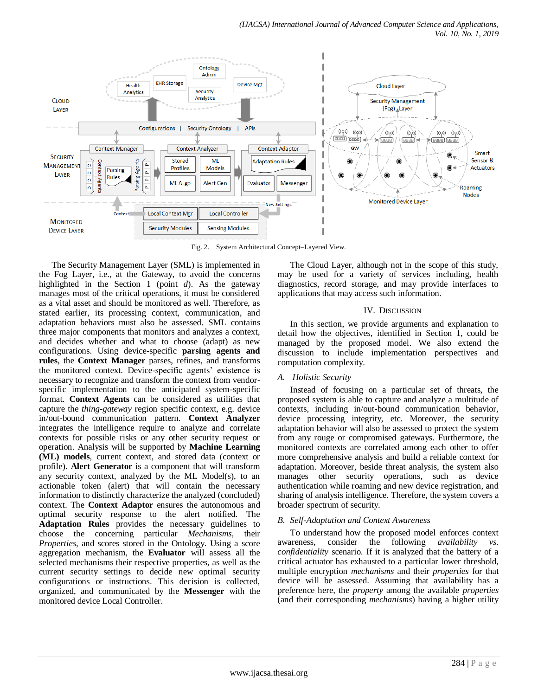

Fig. 2. System Architectural Concept–Layered View.

The Security Management Layer (SML) is implemented in the Fog Layer, i.e., at the Gateway, to avoid the concerns highlighted in the Section 1 (point *d*). As the gateway manages most of the critical operations, it must be considered as a vital asset and should be monitored as well. Therefore, as stated earlier, its processing context, communication, and adaptation behaviors must also be assessed. SML contains three major components that monitors and analyzes a context, and decides whether and what to choose (adapt) as new configurations. Using device-specific **parsing agents and rules**, the **Context Manager** parses, refines, and transforms the monitored context. Device-specific agents' existence is necessary to recognize and transform the context from vendorspecific implementation to the anticipated system-specific format. **Context Agents** can be considered as utilities that capture the *thing-gateway* region specific context, e.g. device in/out-bound communication pattern. **Context Analyzer** integrates the intelligence require to analyze and correlate contexts for possible risks or any other security request or operation. Analysis will be supported by **Machine Learning (ML) models**, current context, and stored data (context or profile). **Alert Generator** is a component that will transform any security context, analyzed by the ML Model(s), to an actionable token (alert) that will contain the necessary information to distinctly characterize the analyzed (concluded) context. The **Context Adaptor** ensures the autonomous and optimal security response to the alert notified. The **Adaptation Rules** provides the necessary guidelines to choose the concerning particular *Mechanisms,* their *Properties,* and scores stored in the Ontology. Using a score aggregation mechanism, the **Evaluator** will assess all the selected mechanisms their respective properties, as well as the current security settings to decide new optimal security configurations or instructions. This decision is collected, organized, and communicated by the **Messenger** with the monitored device Local Controller.

The Cloud Layer, although not in the scope of this study, may be used for a variety of services including, health diagnostics, record storage, and may provide interfaces to applications that may access such information.

#### IV. DISCUSSION

In this section, we provide arguments and explanation to detail how the objectives, identified in Section 1, could be managed by the proposed model. We also extend the discussion to include implementation perspectives and computation complexity.

# *A. Holistic Security*

Instead of focusing on a particular set of threats, the proposed system is able to capture and analyze a multitude of contexts, including in/out-bound communication behavior, device processing integrity, etc. Moreover, the security adaptation behavior will also be assessed to protect the system from any rouge or compromised gateways. Furthermore, the monitored contexts are correlated among each other to offer more comprehensive analysis and build a reliable context for adaptation. Moreover, beside threat analysis, the system also manages other security operations, such as device authentication while roaming and new device registration, and sharing of analysis intelligence. Therefore, the system covers a broader spectrum of security.

# *B. Self-Adaptation and Context Awareness*

To understand how the proposed model enforces context awareness, consider the following *availability vs. confidentiality* scenario. If it is analyzed that the battery of a critical actuator has exhausted to a particular lower threshold, multiple encryption *mechanisms* and their *properties* for that device will be assessed. Assuming that availability has a preference here, the *property* among the available *properties*  (and their corresponding *mechanisms*) having a higher utility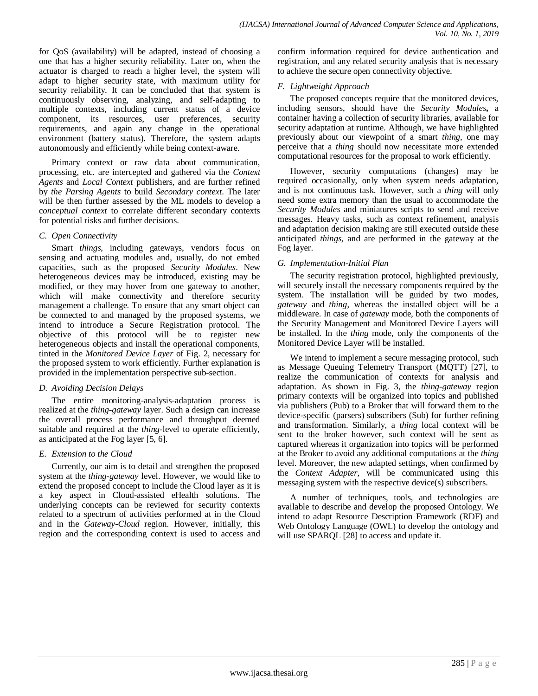for QoS (availability) will be adapted, instead of choosing a one that has a higher security reliability. Later on, when the actuator is charged to reach a higher level, the system will adapt to higher security state, with maximum utility for security reliability. It can be concluded that that system is continuously observing, analyzing, and self-adapting to multiple contexts, including current status of a device component, its resources, user preferences, security requirements, and again any change in the operational environment (battery status). Therefore, the system adapts autonomously and efficiently while being context-aware.

Primary context or raw data about communication, processing, etc. are intercepted and gathered via the *Context Agents* and *Local Context* publishers, and are further refined by *the Parsing Agents* to build *Secondary context*. The later will be then further assessed by the ML models to develop a c*onceptual context* to correlate different secondary contexts for potential risks and further decisions.

## *C. Open Connectivity*

Smart *things*, including gateways, vendors focus on sensing and actuating modules and, usually, do not embed capacities, such as the proposed *Security Modules*. New heterogeneous devices may be introduced, existing may be modified, or they may hover from one gateway to another, which will make connectivity and therefore security management a challenge. To ensure that any smart object can be connected to and managed by the proposed systems, we intend to introduce a Secure Registration protocol. The objective of this protocol will be to register new heterogeneous objects and install the operational components, tinted in the *Monitored Device Layer* of Fig. 2, necessary for the proposed system to work efficiently. Further explanation is provided in the implementation perspective sub-section.

# *D. Avoiding Decision Delays*

The entire monitoring-analysis-adaptation process is realized at the *thing-gateway* layer. Such a design can increase the overall process performance and throughput deemed suitable and required at the *thing*-level to operate efficiently, as anticipated at the Fog layer [5, 6].

# *E. Extension to the Cloud*

Currently, our aim is to detail and strengthen the proposed system at the *thing-gateway* level. However, we would like to extend the proposed concept to include the Cloud layer as it is a key aspect in Cloud-assisted eHealth solutions. The underlying concepts can be reviewed for security contexts related to a spectrum of activities performed at in the Cloud and in the *Gateway-Cloud* region. However, initially, this region and the corresponding context is used to access and confirm information required for device authentication and registration, and any related security analysis that is necessary to achieve the secure open connectivity objective.

# *F. Lightweight Approach*

The proposed concepts require that the monitored devices, including sensors, should have the *Security Modules***,** a container having a collection of security libraries, available for security adaptation at runtime. Although, we have highlighted previously about our viewpoint of a smart *thing*, one may perceive that a *thing* should now necessitate more extended computational resources for the proposal to work efficiently.

However, security computations (changes) may be required occasionally, only when system needs adaptation, and is not continuous task. However, such a *thing* will only need some extra memory than the usual to accommodate the *Security Modules* and miniatures scripts to send and receive messages. Heavy tasks, such as context refinement, analysis and adaptation decision making are still executed outside these anticipated *things*, and are performed in the gateway at the Fog layer.

# *G. Implementation-Initial Plan*

The security registration protocol, highlighted previously, will securely install the necessary components required by the system. The installation will be guided by two modes, *gateway* and *thing*, whereas the installed object will be a middleware. In case of *gateway* mode, both the components of the Security Management and Monitored Device Layers will be installed. In the *thing* mode, only the components of the Monitored Device Layer will be installed.

We intend to implement a secure messaging protocol, such as Message Queuing Telemetry Transport (MQTT) [27], to realize the communication of contexts for analysis and adaptation. As shown in Fig. 3, the *thing-gateway* region primary contexts will be organized into topics and published via publishers (Pub) to a Broker that will forward them to the device-specific (parsers) subscribers (Sub) for further refining and transformation. Similarly, a *thing* local context will be sent to the broker however, such context will be sent as captured whereas it organization into topics will be performed at the Broker to avoid any additional computations at the *thing* level. Moreover, the new adapted settings, when confirmed by the *Context Adapter,* will be communicated using this messaging system with the respective device(s) subscribers.

A number of techniques, tools, and technologies are available to describe and develop the proposed Ontology. We intend to adapt Resource Description Framework (RDF) and Web Ontology Language (OWL) to develop the ontology and will use SPARQL [28] to access and update it.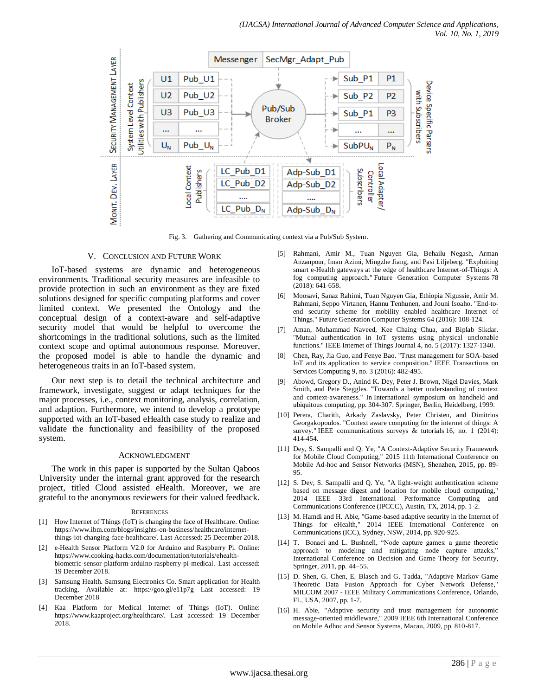

Fig. 3. Gathering and Communicating context via a Pub/Sub System.

#### V. CONCLUSION AND FUTURE WORK

IoT-based systems are dynamic and heterogeneous environments. Traditional security measures are infeasible to provide protection in such an environment as they are fixed solutions designed for specific computing platforms and cover limited context. We presented the Ontology and the conceptual design of a context-aware and self-adaptive security model that would be helpful to overcome the shortcomings in the traditional solutions, such as the limited context scope and optimal autonomous response. Moreover, the proposed model is able to handle the dynamic and heterogeneous traits in an IoT-based system.

Our next step is to detail the technical architecture and framework, investigate, suggest or adapt techniques for the major processes, i.e., context monitoring, analysis, correlation, and adaption. Furthermore, we intend to develop a prototype supported with an IoT-based eHealth case study to realize and validate the functionality and feasibility of the proposed system.

#### ACKNOWLEDGMENT

The work in this paper is supported by the Sultan Qaboos University under the internal grant approved for the research project, titled Cloud assisted eHealth. Moreover, we are grateful to the anonymous reviewers for their valued feedback.

#### **REFERENCES**

- [1] How Internet of Things (IoT) is changing the face of Healthcare. Online: [https://www.ibm.com/blogs/insights-on-business/healthcare/internet](https://www.ibm.com/blogs/insights-on-business/healthcare/internet-things-iot-changing-face-healthcare/)[things-iot-changing-face-healthcare/.](https://www.ibm.com/blogs/insights-on-business/healthcare/internet-things-iot-changing-face-healthcare/) Last Accessed: 25 December 2018.
- [2] e-Health Sensor Platform V2.0 for Arduino and Raspberry Pi. Online: [https://www.cooking-hacks.com/documentation/tutorials/ehealth](https://www.cooking-hacks.com/documentation/tutorials/ehealth-biometric-sensor-platform-arduino-raspberry-pi-medical)[biometric-sensor-platform-arduino-raspberry-pi-medical.](https://www.cooking-hacks.com/documentation/tutorials/ehealth-biometric-sensor-platform-arduino-raspberry-pi-medical) Last accessed: 19 December 2018.
- [3] Samsung Health. Samsung Electronics Co. Smart application for Health tracking. Available at: https://goo.gl/e11p7g Last accessed: 19 December 2018
- [4] Kaa Platform for Medical Internet of Things (IoT). Online: https://www.kaaproject.org/healthcare/. Last accessed: 19 December 2018.
- [5] Rahmani, Amir M., Tuan Nguyen Gia, Behailu Negash, Arman Anzanpour, Iman Azimi, Mingzhe Jiang, and Pasi Liljeberg. "Exploiting smart e-Health gateways at the edge of healthcare Internet-of-Things: A fog computing approach." Future Generation Computer Systems 78 (2018): 641-658.
- [6] Moosavi, Sanaz Rahimi, Tuan Nguyen Gia, Ethiopia Nigussie, Amir M. Rahmani, Seppo Virtanen, Hannu Tenhunen, and Jouni Isoaho. "End-toend security scheme for mobility enabled healthcare Internet of Things." Future Generation Computer Systems 64 (2016): 108-124.
- [7] Aman, Muhammad Naveed, Kee Chaing Chua, and Biplab Sikdar. "Mutual authentication in IoT systems using physical unclonable functions." IEEE Internet of Things Journal 4, no. 5 (2017): 1327-1340.
- [8] Chen, Ray, Jia Guo, and Fenye Bao. "Trust management for SOA-based IoT and its application to service composition." IEEE Transactions on Services Computing 9, no. 3 (2016): 482-495.
- [9] Abowd, Gregory D., Anind K. Dey, Peter J. Brown, Nigel Davies, Mark Smith, and Pete Steggles. "Towards a better understanding of context and context-awareness." In International symposium on handheld and ubiquitous computing, pp. 304-307. Springer, Berlin, Heidelberg, 1999.
- [10] Perera, Charith, Arkady Zaslavsky, Peter Christen, and Dimitrios Georgakopoulos. "Context aware computing for the internet of things: A survey." IEEE communications surveys & tutorials 16, no. 1 (2014): 414-454.
- [11] Dey, S. Sampalli and Q. Ye, "A Context-Adaptive Security Framework for Mobile Cloud Computing," 2015 11th International Conference on Mobile Ad-hoc and Sensor Networks (MSN), Shenzhen, 2015, pp. 89- 95.
- [12] S. Dey, S. Sampalli and Q. Ye, "A light-weight authentication scheme based on message digest and location for mobile cloud computing," 2014 IEEE 33rd International Performance Computing and Communications Conference (IPCCC), Austin, TX, 2014, pp. 1-2.
- [13] M. Hamdi and H. Abie, "Game-based adaptive security in the Internet of Things for eHealth," 2014 IEEE International Conference on Communications (ICC), Sydney, NSW, 2014, pp. 920-925.
- [14] T. Bonaci and L. Bushnell, "Node capture games: a game theoretic approach to modeling and mitigating node capture attacks," International Conference on Decision and Game Theory for Security, Springer, 2011, pp. 44–55.
- [15] D. Shen, G. Chen, E. Blasch and G. Tadda, "Adaptive Markov Game Theoretic Data Fusion Approach for Cyber Network Defense," MILCOM 2007 - IEEE Military Communications Conference, Orlando, FL, USA, 2007, pp. 1-7.
- [16] H. Abie, "Adaptive security and trust management for autonomic message-oriented middleware," 2009 IEEE 6th International Conference on Mobile Adhoc and Sensor Systems, Macau, 2009, pp. 810-817.